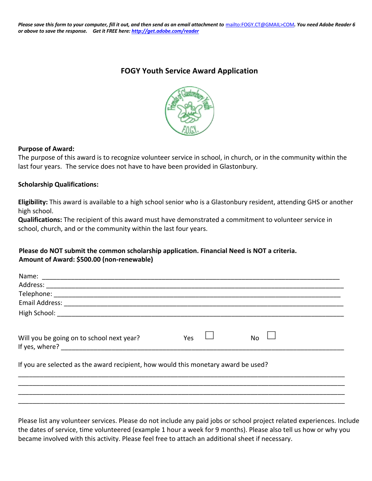# **FOGY Youth Service Award Application**



### **Purpose of Award:**

The purpose of this award is to recognize volunteer service in school, in church, or in the community within the last four years. The service does not have to have been provided in Glastonbury.

### **Scholarship Qualifications:**

**Eligibility:** This award is available to a high school senior who is a Glastonbury resident, attending GHS or another high school.

**Qualifications:** The recipient of this award must have demonstrated a commitment to volunteer service in school, church, and or the community within the last four years.

# **Please do NOT submit the common scholarship application. Financial Need is NOT a criteria. Amount of Award: \$500.00 (non-renewable)**

| Will you be going on to school next year?                                          | Yes | <b>No</b> |  |
|------------------------------------------------------------------------------------|-----|-----------|--|
| If you are selected as the award recipient, how would this monetary award be used? |     |           |  |
|                                                                                    |     |           |  |
|                                                                                    |     |           |  |
|                                                                                    |     |           |  |

Please list any volunteer services. Please do not include any paid jobs or school project related experiences. Include the dates of service, time volunteered (example 1 hour a week for 9 months). Please also tell us how or why you became involved with this activity. Please feel free to attach an additional sheet if necessary.